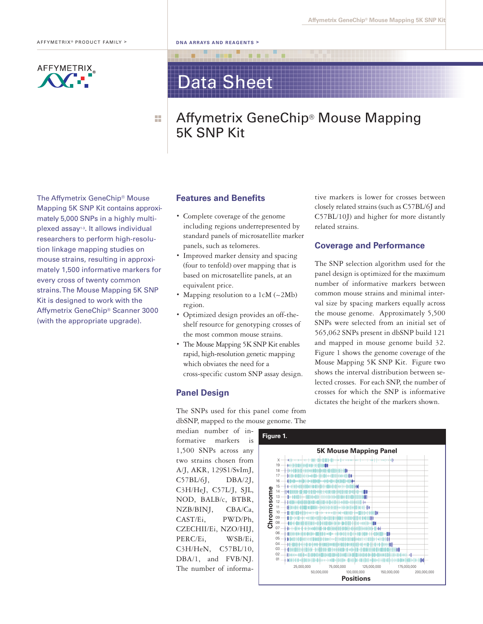# **AFFYMETRIX**

■■ ■■

# Data Sheet

. . .

# Affymetrix GeneChip® Mouse Mapping 5K SNP Kit

The Affymetrix GeneChip® Mouse Mapping 5K SNP Kit contains approximately 5,000 SNPs in a highly multiplexed assay1-3. It allows individual researchers to perform high-resolution linkage mapping studies on mouse strains, resulting in approximately 1,500 informative markers for every cross of twenty common strains.The Mouse Mapping 5K SNP Kit is designed to work with the Affymetrix GeneChip® Scanner 3000 (with the appropriate upgrade).

# **Features and Benefits**

- **·** Complete coverage of the genome including regions underrepresented by standard panels of microsatellite marker panels, such as telomeres.
- **·** Improved marker density and spacing (four to tenfold) over mapping that is based on microsatellite panels, at an equivalent price.
- **·** Mapping resolution to <sup>a</sup> 1cM (~2Mb) region.
- **·** Optimized design provides an off-theshelf resource for genotyping crosses of the most common mouse strains.
- The Mouse Mapping 5K SNP Kit enables rapid, high-resolution genetic mapping which obviates the need for a cross-specific custom SNP assay design.

# **Panel Design**

The SNPs used for this panel come from dbSNP, mapped to the mouse genome. The

median number of informative markers 1,500 SNPs across any two strains chosen from A/J, AKR, 129S1/SvImJ, C57BL/6J, DBA/2J, C3H/HeJ, C57L/J, SJL, NOD, BALB/c, BTBR, NZB/BINJ, CBA/Ca, CAST/Ei, PWD/Ph, CZECHII/Ei, NZO/HIJ, PERC/Ei, WSB/Ei, C3H/HeN, C57BL/10, DBA/1, and FVB/NJ. The number of informa-

tive markers is lower for crosses between closely related strains (such as C57BL/6J and C57BL/10J) and higher for more distantly related strains.

# **Coverage and Performance**

The SNP selection algorithm used for the panel design is optimized for the maximum number of informative markers between common mouse strains and minimal interval size by spacing markers equally across the mouse genome. Approximately 5,500 SNPs were selected from an initial set of 565,062 SNPs present in dbSNP build 121 and mapped in mouse genome build 32. Figure 1 shows the genome coverage of the Mouse Mapping 5K SNP Kit. Figure two shows the interval distribution between selected crosses. For each SNP, the number of crosses for which the SNP is informative dictates the height of the markers shown.